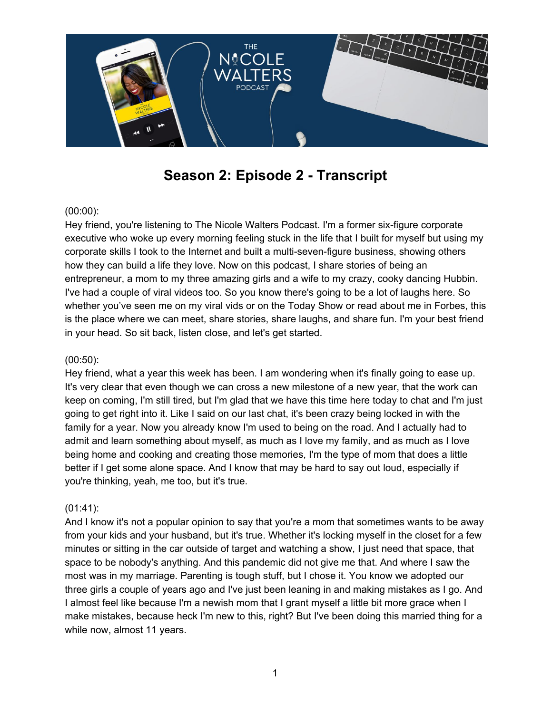

# **Season 2: Episode 2 - Transcript**

### (00:00):

Hey friend, you're listening to The Nicole Walters Podcast. I'm a former six-figure corporate executive who woke up every morning feeling stuck in the life that I built for myself but using my corporate skills I took to the Internet and built a multi-seven-figure business, showing others how they can build a life they love. Now on this podcast, I share stories of being an entrepreneur, a mom to my three amazing girls and a wife to my crazy, cooky dancing Hubbin. I've had a couple of viral videos too. So you know there's going to be a lot of laughs here. So whether you've seen me on my viral vids or on the Today Show or read about me in Forbes, this is the place where we can meet, share stories, share laughs, and share fun. I'm your best friend in your head. So sit back, listen close, and let's get started.

#### (00:50):

Hey friend, what a year this week has been. I am wondering when it's finally going to ease up. It's very clear that even though we can cross a new milestone of a new year, that the work can keep on coming, I'm still tired, but I'm glad that we have this time here today to chat and I'm just going to get right into it. Like I said on our last chat, it's been crazy being locked in with the family for a year. Now you already know I'm used to being on the road. And I actually had to admit and learn something about myself, as much as I love my family, and as much as I love being home and cooking and creating those memories, I'm the type of mom that does a little better if I get some alone space. And I know that may be hard to say out loud, especially if you're thinking, yeah, me too, but it's true.

#### (01:41):

And I know it's not a popular opinion to say that you're a mom that sometimes wants to be away from your kids and your husband, but it's true. Whether it's locking myself in the closet for a few minutes or sitting in the car outside of target and watching a show, I just need that space, that space to be nobody's anything. And this pandemic did not give me that. And where I saw the most was in my marriage. Parenting is tough stuff, but I chose it. You know we adopted our three girls a couple of years ago and I've just been leaning in and making mistakes as I go. And I almost feel like because I'm a newish mom that I grant myself a little bit more grace when I make mistakes, because heck I'm new to this, right? But I've been doing this married thing for a while now, almost 11 years.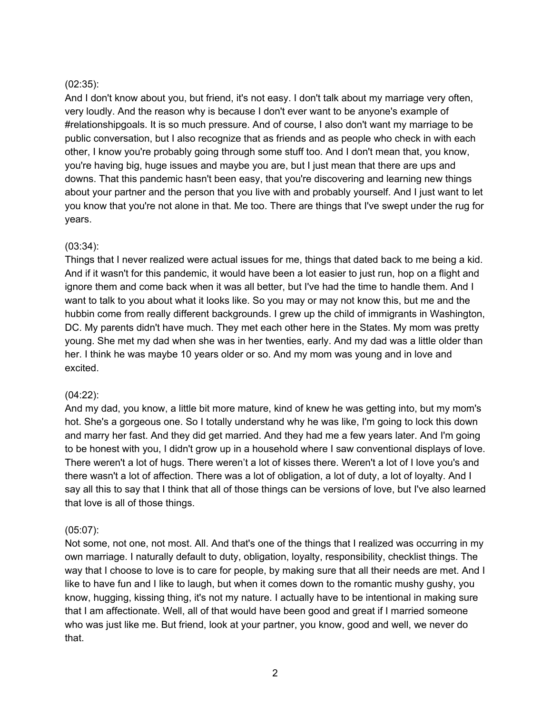#### (02:35):

And I don't know about you, but friend, it's not easy. I don't talk about my marriage very often, very loudly. And the reason why is because I don't ever want to be anyone's example of #relationshipgoals. It is so much pressure. And of course, I also don't want my marriage to be public conversation, but I also recognize that as friends and as people who check in with each other, I know you're probably going through some stuff too. And I don't mean that, you know, you're having big, huge issues and maybe you are, but I just mean that there are ups and downs. That this pandemic hasn't been easy, that you're discovering and learning new things about your partner and the person that you live with and probably yourself. And I just want to let you know that you're not alone in that. Me too. There are things that I've swept under the rug for years.

#### (03:34):

Things that I never realized were actual issues for me, things that dated back to me being a kid. And if it wasn't for this pandemic, it would have been a lot easier to just run, hop on a flight and ignore them and come back when it was all better, but I've had the time to handle them. And I want to talk to you about what it looks like. So you may or may not know this, but me and the hubbin come from really different backgrounds. I grew up the child of immigrants in Washington, DC. My parents didn't have much. They met each other here in the States. My mom was pretty young. She met my dad when she was in her twenties, early. And my dad was a little older than her. I think he was maybe 10 years older or so. And my mom was young and in love and excited.

#### (04:22):

And my dad, you know, a little bit more mature, kind of knew he was getting into, but my mom's hot. She's a gorgeous one. So I totally understand why he was like, I'm going to lock this down and marry her fast. And they did get married. And they had me a few years later. And I'm going to be honest with you, I didn't grow up in a household where I saw conventional displays of love. There weren't a lot of hugs. There weren't a lot of kisses there. Weren't a lot of I love you's and there wasn't a lot of affection. There was a lot of obligation, a lot of duty, a lot of loyalty. And I say all this to say that I think that all of those things can be versions of love, but I've also learned that love is all of those things.

## (05:07):

Not some, not one, not most. All. And that's one of the things that I realized was occurring in my own marriage. I naturally default to duty, obligation, loyalty, responsibility, checklist things. The way that I choose to love is to care for people, by making sure that all their needs are met. And I like to have fun and I like to laugh, but when it comes down to the romantic mushy gushy, you know, hugging, kissing thing, it's not my nature. I actually have to be intentional in making sure that I am affectionate. Well, all of that would have been good and great if I married someone who was just like me. But friend, look at your partner, you know, good and well, we never do that.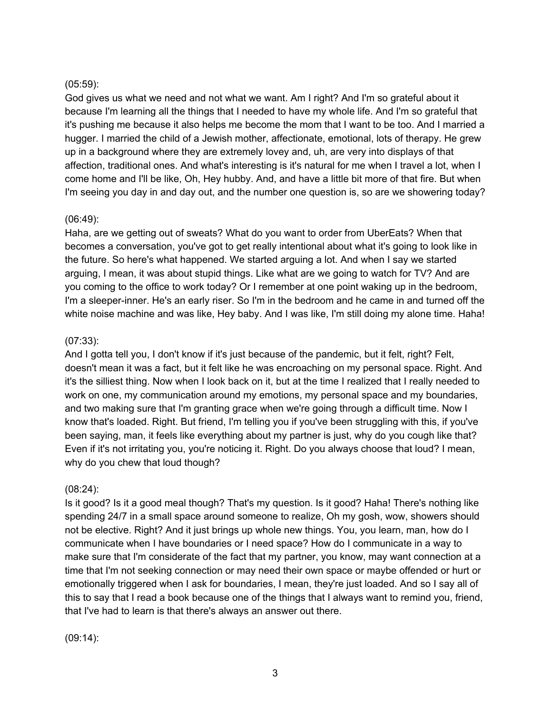#### (05:59):

God gives us what we need and not what we want. Am I right? And I'm so grateful about it because I'm learning all the things that I needed to have my whole life. And I'm so grateful that it's pushing me because it also helps me become the mom that I want to be too. And I married a hugger. I married the child of a Jewish mother, affectionate, emotional, lots of therapy. He grew up in a background where they are extremely lovey and, uh, are very into displays of that affection, traditional ones. And what's interesting is it's natural for me when I travel a lot, when I come home and I'll be like, Oh, Hey hubby. And, and have a little bit more of that fire. But when I'm seeing you day in and day out, and the number one question is, so are we showering today?

#### (06:49):

Haha, are we getting out of sweats? What do you want to order from UberEats? When that becomes a conversation, you've got to get really intentional about what it's going to look like in the future. So here's what happened. We started arguing a lot. And when I say we started arguing, I mean, it was about stupid things. Like what are we going to watch for TV? And are you coming to the office to work today? Or I remember at one point waking up in the bedroom, I'm a sleeper-inner. He's an early riser. So I'm in the bedroom and he came in and turned off the white noise machine and was like, Hey baby. And I was like, I'm still doing my alone time. Haha!

## (07:33):

And I gotta tell you, I don't know if it's just because of the pandemic, but it felt, right? Felt, doesn't mean it was a fact, but it felt like he was encroaching on my personal space. Right. And it's the silliest thing. Now when I look back on it, but at the time I realized that I really needed to work on one, my communication around my emotions, my personal space and my boundaries, and two making sure that I'm granting grace when we're going through a difficult time. Now I know that's loaded. Right. But friend, I'm telling you if you've been struggling with this, if you've been saying, man, it feels like everything about my partner is just, why do you cough like that? Even if it's not irritating you, you're noticing it. Right. Do you always choose that loud? I mean, why do you chew that loud though?

## (08:24):

Is it good? Is it a good meal though? That's my question. Is it good? Haha! There's nothing like spending 24/7 in a small space around someone to realize, Oh my gosh, wow, showers should not be elective. Right? And it just brings up whole new things. You, you learn, man, how do I communicate when I have boundaries or I need space? How do I communicate in a way to make sure that I'm considerate of the fact that my partner, you know, may want connection at a time that I'm not seeking connection or may need their own space or maybe offended or hurt or emotionally triggered when I ask for boundaries, I mean, they're just loaded. And so I say all of this to say that I read a book because one of the things that I always want to remind you, friend, that I've had to learn is that there's always an answer out there.

(09:14):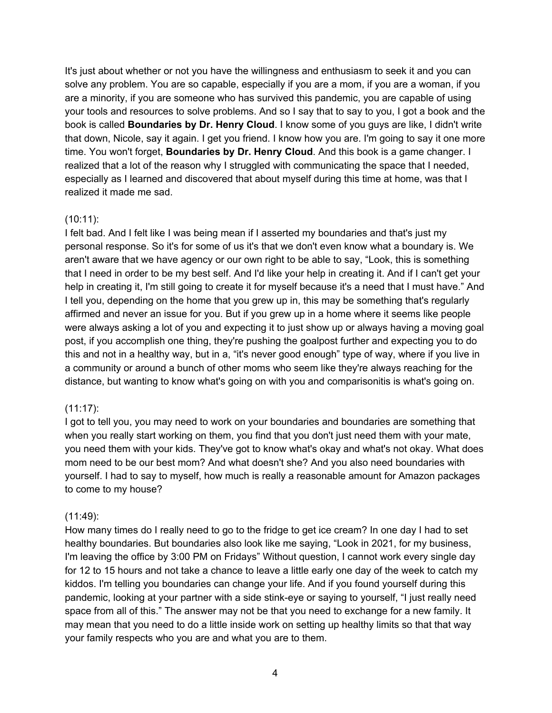It's just about whether or not you have the willingness and enthusiasm to seek it and you can solve any problem. You are so capable, especially if you are a mom, if you are a woman, if you are a minority, if you are someone who has survived this pandemic, you are capable of using your tools and resources to solve problems. And so I say that to say to you, I got a book and the book is called **Boundaries by Dr. Henry Cloud**. I know some of you guys are like, I didn't write that down, Nicole, say it again. I get you friend. I know how you are. I'm going to say it one more time. You won't forget, **Boundaries by Dr. Henry Cloud**. And this book is a game changer. I realized that a lot of the reason why I struggled with communicating the space that I needed, especially as I learned and discovered that about myself during this time at home, was that I realized it made me sad.

#### (10:11):

I felt bad. And I felt like I was being mean if I asserted my boundaries and that's just my personal response. So it's for some of us it's that we don't even know what a boundary is. We aren't aware that we have agency or our own right to be able to say, "Look, this is something that I need in order to be my best self. And I'd like your help in creating it. And if I can't get your help in creating it, I'm still going to create it for myself because it's a need that I must have." And I tell you, depending on the home that you grew up in, this may be something that's regularly affirmed and never an issue for you. But if you grew up in a home where it seems like people were always asking a lot of you and expecting it to just show up or always having a moving goal post, if you accomplish one thing, they're pushing the goalpost further and expecting you to do this and not in a healthy way, but in a, "it's never good enough" type of way, where if you live in a community or around a bunch of other moms who seem like they're always reaching for the distance, but wanting to know what's going on with you and comparisonitis is what's going on.

#### (11:17):

I got to tell you, you may need to work on your boundaries and boundaries are something that when you really start working on them, you find that you don't just need them with your mate, you need them with your kids. They've got to know what's okay and what's not okay. What does mom need to be our best mom? And what doesn't she? And you also need boundaries with yourself. I had to say to myself, how much is really a reasonable amount for Amazon packages to come to my house?

#### (11:49):

How many times do I really need to go to the fridge to get ice cream? In one day I had to set healthy boundaries. But boundaries also look like me saying, "Look in 2021, for my business, I'm leaving the office by 3:00 PM on Fridays" Without question, I cannot work every single day for 12 to 15 hours and not take a chance to leave a little early one day of the week to catch my kiddos. I'm telling you boundaries can change your life. And if you found yourself during this pandemic, looking at your partner with a side stink-eye or saying to yourself, "I just really need space from all of this." The answer may not be that you need to exchange for a new family. It may mean that you need to do a little inside work on setting up healthy limits so that that way your family respects who you are and what you are to them.